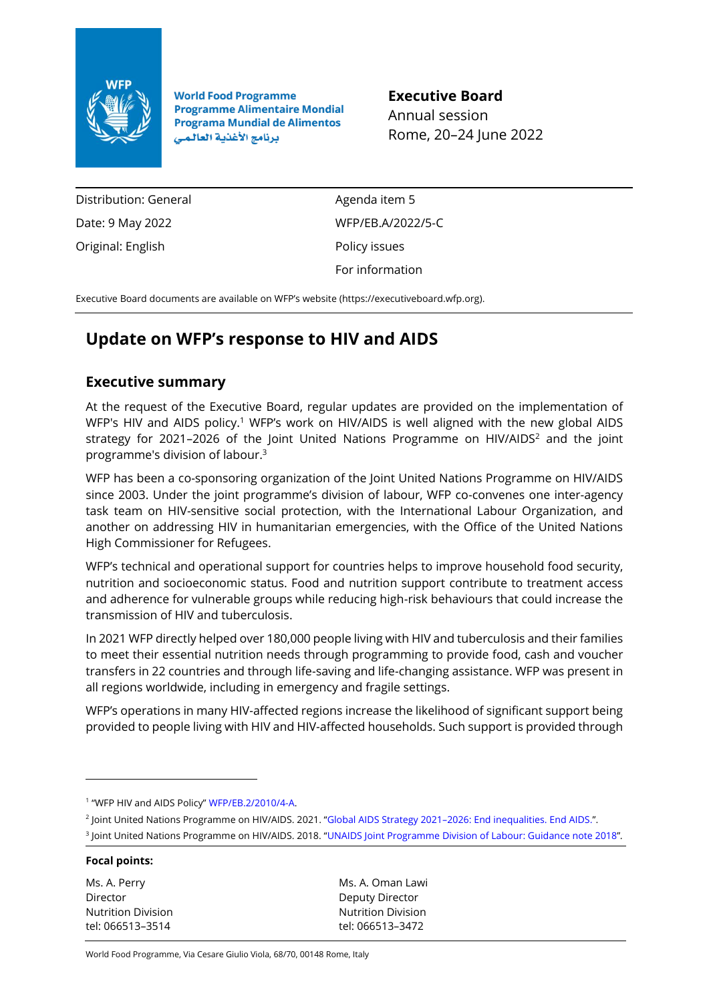

**World Food Programme Programme Alimentaire Mondial Programa Mundial de Alimentos** برنامج الأغذية العالمي

**Executive Board** Annual session Rome, 20–24 June 2022

Distribution: General Date: 9 May 2022 Original: English

Agenda item 5 WFP/EB.A/2022/5-C Policy issues For information

Executive Board documents are available on WFP's website [\(https://executiveboard.wfp.org\)](https://executiveboard.wfp.org/).

# **Update on WFP's response to HIV and AIDS**

# **Executive summary**

At the request of the Executive Board, regular updates are provided on the implementation of WFP's HIV and AIDS policy.<sup>1</sup> WFP's work on HIV/AIDS is well aligned with the new global AIDS strategy for 2021–2026 of the Joint United Nations Programme on HIV/AIDS<sup>2</sup> and the joint programme's division of labour. 3

WFP has been a co-sponsoring organization of the Joint United Nations Programme on HIV/AIDS since 2003. Under the joint programme's division of labour, WFP co-convenes one inter-agency task team on HIV-sensitive social protection, with the International Labour Organization, and another on addressing HIV in humanitarian emergencies, with the Office of the United Nations High Commissioner for Refugees.

WFP's technical and operational support for countries helps to improve household food security, nutrition and socioeconomic status. Food and nutrition support contribute to treatment access and adherence for vulnerable groups while reducing high-risk behaviours that could increase the transmission of HIV and tuberculosis.

In 2021 WFP directly helped over 180,000 people living with HIV and tuberculosis and their families to meet their essential nutrition needs through programming to provide food, cash and voucher transfers in 22 countries and through life-saving and life-changing assistance. WFP was present in all regions worldwide, including in emergency and fragile settings.

WFP's operations in many HIV-affected regions increase the likelihood of significant support being provided to people living with HIV and HIV-affected households. Such support is provided through

Ms. A. Perry Director Nutrition Division tel: 066513–3514

**Focal points:**

Ms. A. Oman Lawi Deputy Director Nutrition Division tel: 066513–3472

World Food Programme, Via Cesare Giulio Viola, 68/70, 00148 Rome, Italy

<sup>1</sup> "WFP HIV and AIDS Policy" [WFP/EB.2/2010/4-A.](https://docs.wfp.org/api/documents/WFP-0000025496/download/)

<sup>2</sup> Joint United Nations Programme on HIV/AIDS. 2021. "Global AIDS Strategy 2021–2026: [End inequalities.](https://www.unaids.org/sites/default/files/media_asset/global-AIDS-strategy-2021-2026_en.pdf) End AIDS.". 3 Joint United Nations Programme on HIV/AIDS. 2018. "[UNAIDS Joint Programme Division of Labour: Guidance note 2018](https://www.unaids.org/sites/default/files/media_asset/UNAIDS-Division-of-Labour_en.pdf)"*.*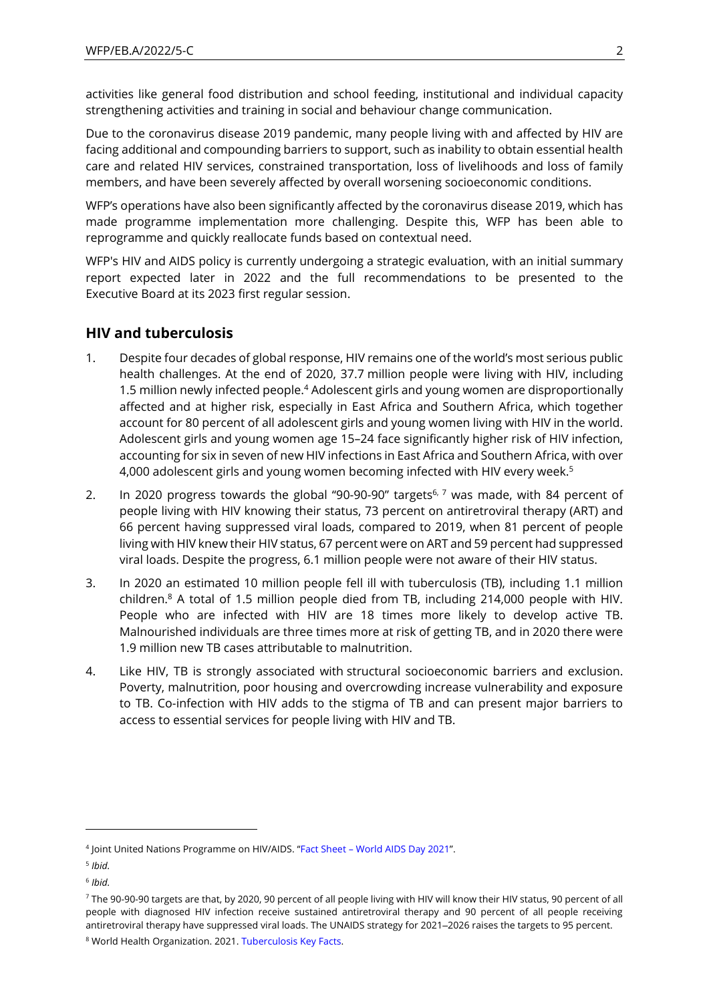activities like general food distribution and school feeding, institutional and individual capacity strengthening activities and training in social and behaviour change communication.

Due to the coronavirus disease 2019 pandemic, many people living with and affected by HIV are facing additional and compounding barriers to support, such as inability to obtain essential health care and related HIV services, constrained transportation, loss of livelihoods and loss of family members, and have been severely affected by overall worsening socioeconomic conditions.

WFP's operations have also been significantly affected by the coronavirus disease 2019, which has made programme implementation more challenging. Despite this, WFP has been able to reprogramme and quickly reallocate funds based on contextual need.

WFP's HIV and AIDS policy is currently undergoing a strategic evaluation, with an initial summary report expected later in 2022 and the full recommendations to be presented to the Executive Board at its 2023 first regular session.

## **HIV and tuberculosis**

- 1. Despite four decades of global response, HIV remains one of the world's most serious public health challenges. At the end of 2020, 37.7 million people were living with HIV, including 1.5 million newly infected people. <sup>4</sup> Adolescent girls and young women are disproportionally affected and at higher risk, especially in East Africa and Southern Africa, which together account for 80 percent of all adolescent girls and young women living with HIV in the world. Adolescent girls and young women age 15–24 face significantly higher risk of HIV infection, accounting for six in seven of new HIV infections in East Africa and Southern Africa, with over 4,000 adolescent girls and young women becoming infected with HIV every week.<sup>5</sup>
- 2. In 2020 progress towards the global "90-90-90" targets<sup>6, 7</sup> was made, with 84 percent of people living with HIV knowing their status, 73 percent on antiretroviral therapy (ART) and 66 percent having suppressed viral loads, compared to 2019, when 81 percent of people living with HIV knew their HIV status, 67 percent were on ART and 59 percent had suppressed viral loads. Despite the progress, 6.1 million people were not aware of their HIV status.
- 3. In 2020 an estimated 10 million people fell ill with tuberculosis (TB), including 1.1 million children.<sup>8</sup> A total of 1.5 million people died from TB, including 214,000 people with HIV. People who are infected with HIV are 18 times more likely to develop active TB. Malnourished individuals are three times more at risk of getting TB, and in 2020 there were 1.9 million new TB cases attributable to malnutrition.
- 4. Like HIV, TB is strongly associated with structural socioeconomic barriers and exclusion. Poverty, malnutrition, poor housing and overcrowding increase vulnerability and exposure to TB. Co-infection with HIV adds to the stigma of TB and can present major barriers to access to essential services for people living with HIV and TB.

<sup>4</sup> Joint United Nations Programme on HIV/AIDS. "Fact Sheet – [World AIDS Day 2021](https://www.unaids.org/sites/default/files/media_asset/UNAIDS_FactSheet_en.pdf)".

<sup>5</sup> *Ibid.*

<sup>6</sup> *Ibid.*

<sup>7</sup> The 90-90-90 targets are that, by 2020, 90 percent of all people living with HIV will know their HIV status, 90 percent of all people with diagnosed HIV infection receive sustained antiretroviral therapy and 90 percent of all people receiving antiretroviral therapy have suppressed viral loads. The UNAIDS strategy for 2021-2026 raises the targets to 95 percent. <sup>8</sup> World Health Organization. 2021. [Tuberculosis Key Facts.](https://www.who.int/news-room/fact-sheets/detail/tuberculosis)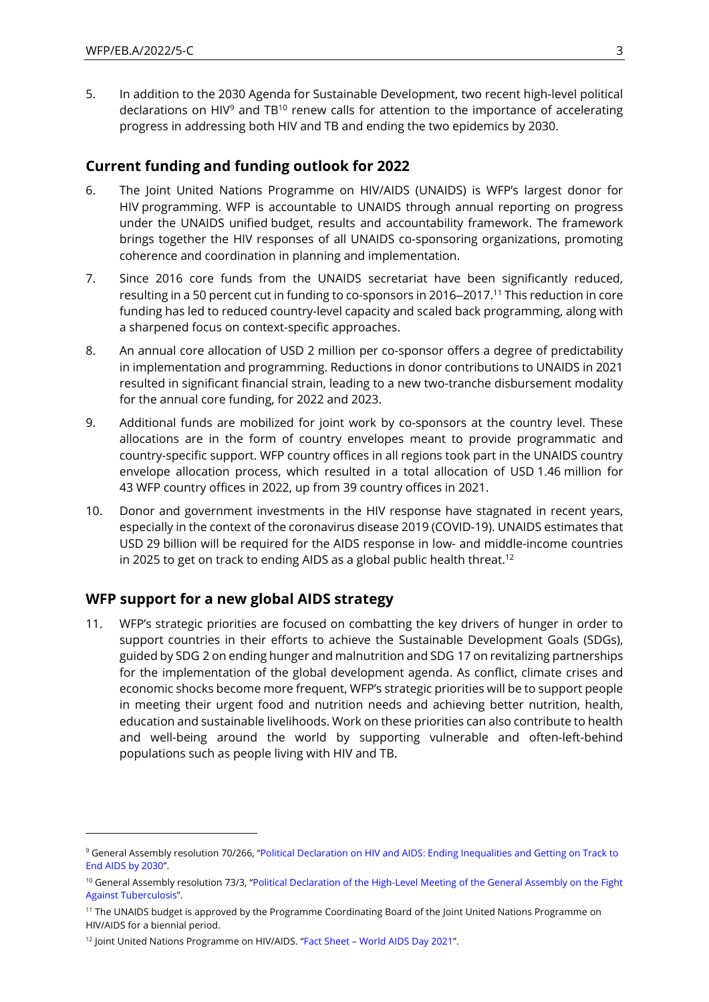5. In addition to the 2030 Agenda for Sustainable Development, two recent high-level political declarations on HIV<sup>9</sup> and TB<sup>10</sup> renew calls for attention to the importance of accelerating progress in addressing both HIV and TB and ending the two epidemics by 2030.

### **Current funding and funding outlook for 2022**

- 6. The Joint United Nations Programme on HIV/AIDS (UNAIDS) is WFP's largest donor for HIV programming. WFP is accountable to UNAIDS through annual reporting on progress under the UNAIDS unified budget, results and accountability framework. The framework brings together the HIV responses of all UNAIDS co-sponsoring organizations, promoting coherence and coordination in planning and implementation.
- 7. Since 2016 core funds from the UNAIDS secretariat have been significantly reduced, resulting in a 50 percent cut in funding to co-sponsors in 2016–2017.<sup>11</sup> This reduction in core funding has led to reduced country-level capacity and scaled back programming, along with a sharpened focus on context-specific approaches.
- 8. An annual core allocation of USD 2 million per co-sponsor offers a degree of predictability in implementation and programming. Reductions in donor contributions to UNAIDS in 2021 resulted in significant financial strain, leading to a new two-tranche disbursement modality for the annual core funding, for 2022 and 2023.
- 9. Additional funds are mobilized for joint work by co-sponsors at the country level. These allocations are in the form of country envelopes meant to provide programmatic and country-specific support. WFP country offices in all regions took part in the UNAIDS country envelope allocation process, which resulted in a total allocation of USD 1.46 million for 43 WFP country offices in 2022, up from 39 country offices in 2021.
- 10. Donor and government investments in the HIV response have stagnated in recent years, especially in the context of the coronavirus disease 2019 (COVID-19). UNAIDS estimates that USD 29 billion will be required for the AIDS response in low- and middle-income countries in 2025 to get on track to ending AIDS as a global public health threat.<sup>12</sup>

### **WFP support for a new global AIDS strategy**

11. WFP's strategic priorities are focused on combatting the key drivers of hunger in order to support countries in their efforts to achieve the Sustainable Development Goals (SDGs), guided by SDG 2 on ending hunger and malnutrition and SDG 17 on revitalizing partnerships for the implementation of the global development agenda. As conflict, climate crises and economic shocks become more frequent, WFP's strategic priorities will be to support people in meeting their urgent food and nutrition needs and achieving better nutrition, health, education and sustainable livelihoods. Work on these priorities can also contribute to health and well-being around the world by supporting vulnerable and often-left-behind populations such as people living with HIV and TB.

<sup>9</sup> General Assembly resolution 70/266, "[Political Declaration on HIV and AIDS: Ending Inequalities and Getting on Track to](https://www.unaids.org/sites/default/files/media_asset/2021_political-declaration-on-hiv-and-aids_en.pdf)  [End AIDS by 2030](https://www.unaids.org/sites/default/files/media_asset/2021_political-declaration-on-hiv-and-aids_en.pdf)".

<sup>&</sup>lt;sup>10</sup> General Assembly resolution 73/3, "Political Declaration of the High-Level Meeting of the General Assembly on the Fight [Against Tuberculosis](https://www.who.int/publications/m/item/political-declaration-of-the-un-general-assembly-high-level-meeting-on-the-fight-against-tuberculosis)".

<sup>&</sup>lt;sup>11</sup> The UNAIDS budget is approved by the Programme Coordinating Board of the Joint United Nations Programme on HIV/AIDS for a biennial period.

<sup>&</sup>lt;sup>12</sup> Joint United Nations Programme on HIV/AIDS. "Fact Sheet - [World AIDS Day 2021](https://www.unaids.org/sites/default/files/media_asset/UNAIDS_FactSheet_en.pdf)".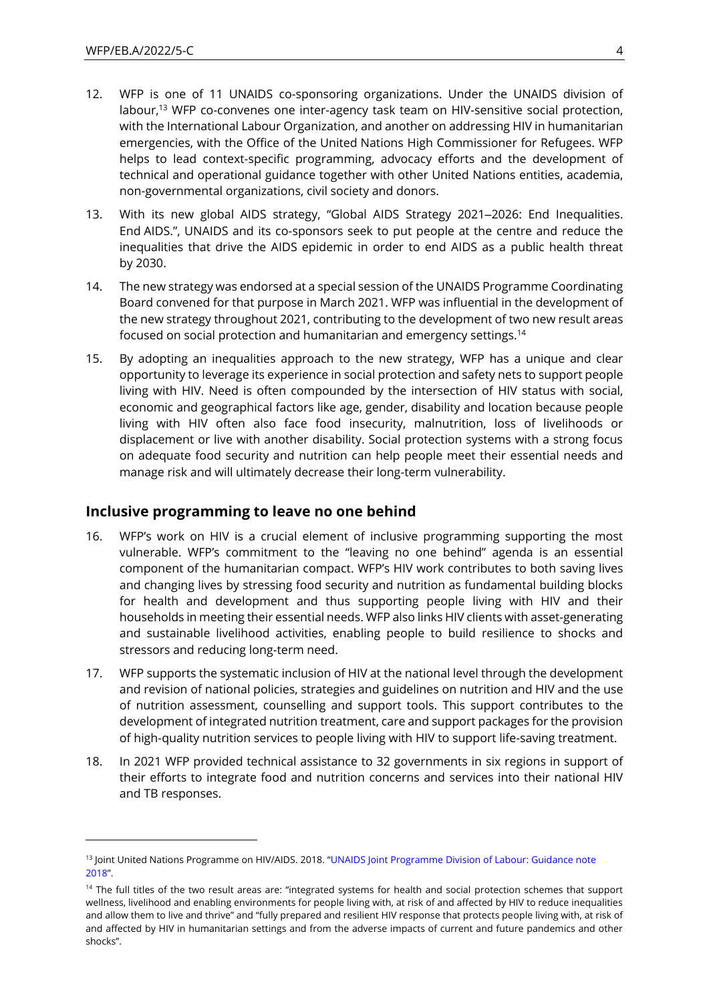- 12. WFP is one of 11 UNAIDS co-sponsoring organizations. Under the UNAIDS division of labour,<sup>13</sup> WFP co-convenes one inter-agency task team on HIV-sensitive social protection, with the International Labour Organization, and another on addressing HIV in humanitarian emergencies, with the Office of the United Nations High Commissioner for Refugees. WFP helps to lead context-specific programming, advocacy efforts and the development of technical and operational guidance together with other United Nations entities, academia, non-governmental organizations, civil society and donors.
- 13. With its new global AIDS strategy, "Global AIDS Strategy 2021–2026: End Inequalities. End AIDS.", UNAIDS and its co-sponsors seek to put people at the centre and reduce the inequalities that drive the AIDS epidemic in order to end AIDS as a public health threat by 2030.
- 14. The new strategy was endorsed at a special session of the UNAIDS Programme Coordinating Board convened for that purpose in March 2021. WFP was influential in the development of the new strategy throughout 2021, contributing to the development of two new result areas focused on social protection and humanitarian and emergency settings. 14
- 15. By adopting an inequalities approach to the new strategy, WFP has a unique and clear opportunity to leverage its experience in social protection and safety nets to support people living with HIV. Need is often compounded by the intersection of HIV status with social, economic and geographical factors like age, gender, disability and location because people living with HIV often also face food insecurity, malnutrition, loss of livelihoods or displacement or live with another disability. Social protection systems with a strong focus on adequate food security and nutrition can help people meet their essential needs and manage risk and will ultimately decrease their long-term vulnerability.

### **Inclusive programming to leave no one behind**

- 16. WFP's work on HIV is a crucial element of inclusive programming supporting the most vulnerable. WFP's commitment to the "leaving no one behind" agenda is an essential component of the humanitarian compact. WFP's HIV work contributes to both saving lives and changing lives by stressing food security and nutrition as fundamental building blocks for health and development and thus supporting people living with HIV and their households in meeting their essential needs. WFP also links HIV clients with asset-generating and sustainable livelihood activities, enabling people to build resilience to shocks and stressors and reducing long-term need.
- 17. WFP supports the systematic inclusion of HIV at the national level through the development and revision of national policies, strategies and guidelines on nutrition and HIV and the use of nutrition assessment, counselling and support tools. This support contributes to the development of integrated nutrition treatment, care and support packages for the provision of high-quality nutrition services to people living with HIV to support life-saving treatment.
- 18. In 2021 WFP provided technical assistance to 32 governments in six regions in support of their efforts to integrate food and nutrition concerns and services into their national HIV and TB responses.

<sup>&</sup>lt;sup>13</sup> Joint United Nations Programme on HIV/AIDS. 2018. "UNAIDS Joint Programme Division of Labour: Guidance note [2018](https://www.unaids.org/sites/default/files/media_asset/UNAIDS-Division-of-Labour_en.pdf)".

<sup>&</sup>lt;sup>14</sup> The full titles of the two result areas are: "integrated systems for health and social protection schemes that support wellness, livelihood and enabling environments for people living with, at risk of and affected by HIV to reduce inequalities and allow them to live and thrive" and "fully prepared and resilient HIV response that protects people living with, at risk of and affected by HIV in humanitarian settings and from the adverse impacts of current and future pandemics and other shocks".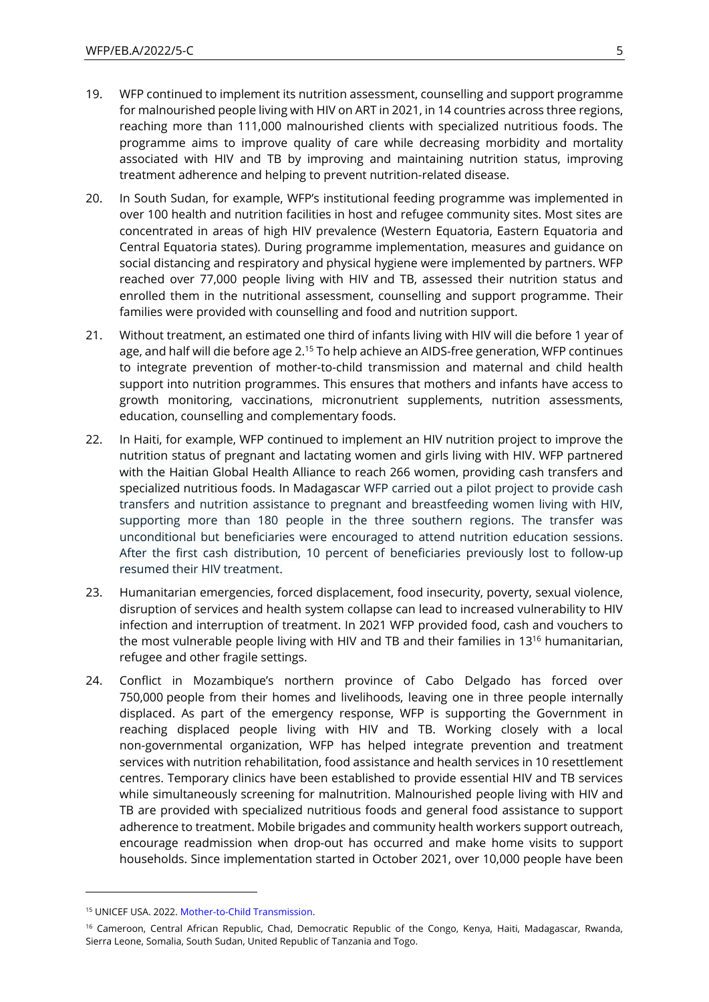- 19. WFP continued to implement its nutrition assessment, counselling and support programme for malnourished people living with HIV on ART in 2021, in 14 countries across three regions, reaching more than 111,000 malnourished clients with specialized nutritious foods. The programme aims to improve quality of care while decreasing morbidity and mortality associated with HIV and TB by improving and maintaining nutrition status, improving treatment adherence and helping to prevent nutrition-related disease.
- 20. In South Sudan, for example, WFP's institutional feeding programme was implemented in over 100 health and nutrition facilities in host and refugee community sites. Most sites are concentrated in areas of high HIV prevalence (Western Equatoria, Eastern Equatoria and Central Equatoria states). During programme implementation, measures and guidance on social distancing and respiratory and physical hygiene were implemented by partners. WFP reached over 77,000 people living with HIV and TB, assessed their nutrition status and enrolled them in the nutritional assessment, counselling and support programme. Their families were provided with counselling and food and nutrition support.
- 21. Without treatment, an estimated one third of infants living with HIV will die before 1 year of age, and half will die before age 2. <sup>15</sup> To help achieve an AIDS-free generation, WFP continues to integrate prevention of mother-to-child transmission and maternal and child health support into nutrition programmes. This ensures that mothers and infants have access to growth monitoring, vaccinations, micronutrient supplements, nutrition assessments, education, counselling and complementary foods.
- 22. In Haiti, for example, WFP continued to implement an HIV nutrition project to improve the nutrition status of pregnant and lactating women and girls living with HIV. WFP partnered with the Haitian Global Health Alliance to reach 266 women, providing cash transfers and specialized nutritious foods. In Madagascar WFP carried out a pilot project to provide cash transfers and nutrition assistance to pregnant and breastfeeding women living with HIV, supporting more than 180 people in the three southern regions. The transfer was unconditional but beneficiaries were encouraged to attend nutrition education sessions. After the first cash distribution, 10 percent of beneficiaries previously lost to follow-up resumed their HIV treatment.
- 23. Humanitarian emergencies, forced displacement, food insecurity, poverty, sexual violence, disruption of services and health system collapse can lead to increased vulnerability to HIV infection and interruption of treatment. In 2021 WFP provided food, cash and vouchers to the most vulnerable people living with HIV and TB and their families in 13<sup>16</sup> humanitarian, refugee and other fragile settings.
- 24. Conflict in Mozambique's northern province of Cabo Delgado has forced over 750,000 people from their homes and livelihoods, leaving one in three people internally displaced. As part of the emergency response, WFP is supporting the Government in reaching displaced people living with HIV and TB. Working closely with a local non-governmental organization, WFP has helped integrate prevention and treatment services with nutrition rehabilitation, food assistance and health services in 10 resettlement centres. Temporary clinics have been established to provide essential HIV and TB services while simultaneously screening for malnutrition. Malnourished people living with HIV and TB are provided with specialized nutritious foods and general food assistance to support adherence to treatment. Mobile brigades and community health workers support outreach, encourage readmission when drop-out has occurred and make home visits to support households. Since implementation started in October 2021, over 10,000 people have been

<sup>15</sup> UNICEF USA. 2022. [Mother-to-Child Transmission.](https://www.unicefusa.org/mission/survival/hiv-aids/mother-child-transmission)

<sup>&</sup>lt;sup>16</sup> Cameroon, Central African Republic, Chad, Democratic Republic of the Congo, Kenya, Haiti, Madagascar, Rwanda, Sierra Leone, Somalia, South Sudan, United Republic of Tanzania and Togo.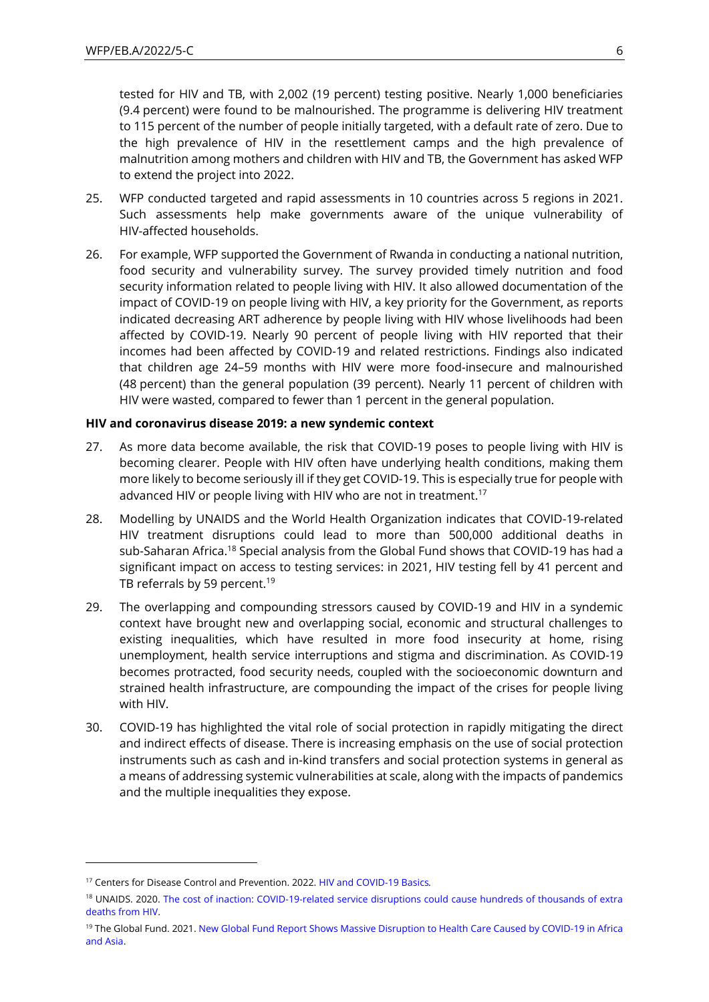tested for HIV and TB, with 2,002 (19 percent) testing positive. Nearly 1,000 beneficiaries (9.4 percent) were found to be malnourished. The programme is delivering HIV treatment to 115 percent of the number of people initially targeted, with a default rate of zero. Due to the high prevalence of HIV in the resettlement camps and the high prevalence of malnutrition among mothers and children with HIV and TB, the Government has asked WFP to extend the project into 2022.

- 25. WFP conducted targeted and rapid assessments in 10 countries across 5 regions in 2021. Such assessments help make governments aware of the unique vulnerability of HIV-affected households.
- 26. For example, WFP supported the Government of Rwanda in conducting a national nutrition, food security and vulnerability survey. The survey provided timely nutrition and food security information related to people living with HIV. It also allowed documentation of the impact of COVID-19 on people living with HIV, a key priority for the Government, as reports indicated decreasing ART adherence by people living with HIV whose livelihoods had been affected by COVID-19. Nearly 90 percent of people living with HIV reported that their incomes had been affected by COVID-19 and related restrictions. Findings also indicated that children age 24–59 months with HIV were more food-insecure and malnourished (48 percent) than the general population (39 percent). Nearly 11 percent of children with HIV were wasted, compared to fewer than 1 percent in the general population.

#### **HIV and coronavirus disease 2019: a new syndemic context**

- 27. As more data become available, the risk that COVID-19 poses to people living with HIV is becoming clearer. People with HIV often have underlying health conditions, making them more likely to become seriously ill if they get COVID-19. This is especially true for people with advanced HIV or people living with HIV who are not in treatment.<sup>17</sup>
- 28. Modelling by UNAIDS and the World Health Organization indicates that COVID-19-related HIV treatment disruptions could lead to more than 500,000 additional deaths in sub-Saharan Africa.<sup>18</sup> Special analysis from the Global Fund shows that COVID-19 has had a significant impact on access to testing services: in 2021, HIV testing fell by 41 percent and TB referrals by 59 percent.<sup>19</sup>
- 29. The overlapping and compounding stressors caused by COVID-19 and HIV in a syndemic context have brought new and overlapping social, economic and structural challenges to existing inequalities, which have resulted in more food insecurity at home, rising unemployment, health service interruptions and stigma and discrimination. As COVID-19 becomes protracted, food security needs, coupled with the socioeconomic downturn and strained health infrastructure, are compounding the impact of the crises for people living with HIV.
- 30. COVID-19 has highlighted the vital role of social protection in rapidly mitigating the direct and indirect effects of disease. There is increasing emphasis on the use of social protection instruments such as cash and in-kind transfers and social protection systems in general as a means of addressing systemic vulnerabilities at scale, along with the impacts of pandemics and the multiple inequalities they expose.

<sup>17</sup> Centers for Disease Control and Prevention. 2022. [HIV and COVID-19 Basics](https://www.cdc.gov/hiv/basics/covid-19.html?CDC_AA_refVal=https%3A%2F%2Fwww.cdc.gov%2Fcoronavirus%2F2019-ncov%2Fneed-extra-precautions%2Fhiv.html)*.*

<sup>&</sup>lt;sup>18</sup> UNAIDS. 2020. The cost of inaction: COVID-19-related service disruptions could cause hundreds of thousands of extra [deaths from HIV.](https://www.unaids.org/en/resources/presscentre/pressreleaseandstatementarchive/2020/may/20200511_PR_HIV_modelling?utm_source=UNAIDS+Newsletter&utm_campaign=b63565560d-20200511_PR_HIV_modelling&utm_medium=email&utm_term=0_e7a6256e25-b63565560d-114188353)

<sup>&</sup>lt;sup>19</sup> The Global Fund. 2021. [New Global Fund Report Shows Massive Disruption to Health Care Caused by COVID-19 in Africa](https://www.theglobalfund.org/en/news/2021-04-13-new-global-fund-report-shows-massive-disruption-to-health-care-caused-by-covid-19-in-africa-and-asia/) [and Asia.](https://www.theglobalfund.org/en/news/2021-04-13-new-global-fund-report-shows-massive-disruption-to-health-care-caused-by-covid-19-in-africa-and-asia/)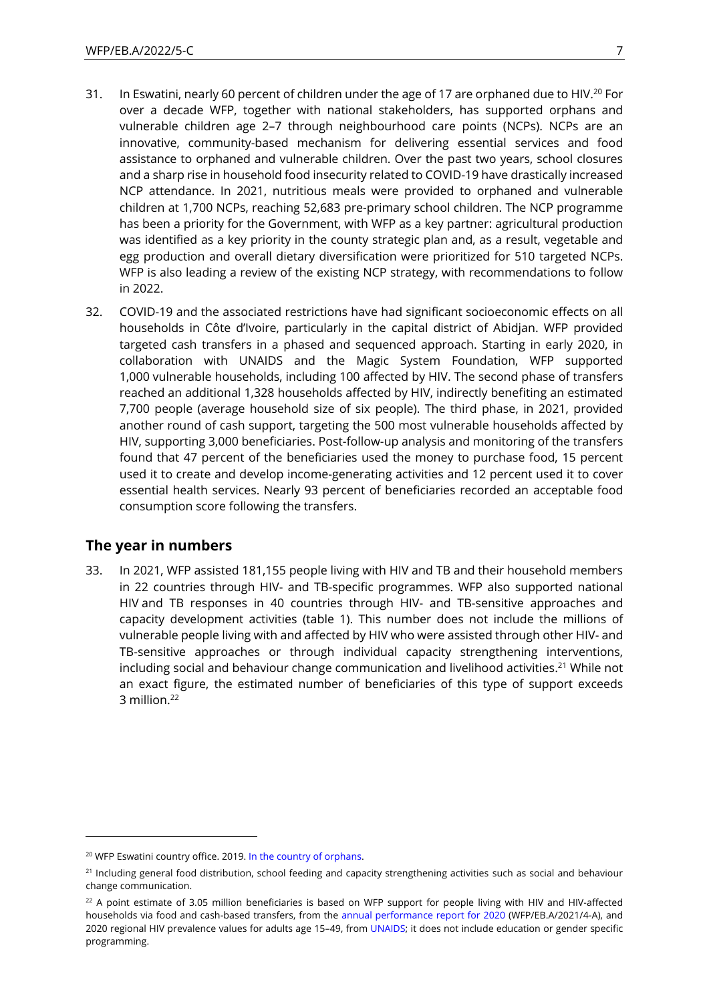- 31. In Eswatini, nearly 60 percent of children under the age of 17 are orphaned due to HIV.<sup>20</sup> For over a decade WFP, together with national stakeholders, has supported orphans and vulnerable children age 2–7 through neighbourhood care points (NCPs). NCPs are an innovative, community-based mechanism for delivering essential services and food assistance to orphaned and vulnerable children. Over the past two years, school closures and a sharp rise in household food insecurity related to COVID-19 have drastically increased NCP attendance. In 2021, nutritious meals were provided to orphaned and vulnerable children at 1,700 NCPs, reaching 52,683 pre-primary school children. The NCP programme has been a priority for the Government, with WFP as a key partner: agricultural production was identified as a key priority in the county strategic plan and, as a result, vegetable and egg production and overall dietary diversification were prioritized for 510 targeted NCPs. WFP is also leading a review of the existing NCP strategy, with recommendations to follow in 2022.
- 32. COVID-19 and the associated restrictions have had significant socioeconomic effects on all households in Côte d'Ivoire, particularly in the capital district of Abidjan. WFP provided targeted cash transfers in a phased and sequenced approach. Starting in early 2020, in collaboration with UNAIDS and the Magic System Foundation, WFP supported 1,000 vulnerable households, including 100 affected by HIV. The second phase of transfers reached an additional 1,328 households affected by HIV, indirectly benefiting an estimated 7,700 people (average household size of six people). The third phase, in 2021, provided another round of cash support, targeting the 500 most vulnerable households affected by HIV, supporting 3,000 beneficiaries. Post-follow-up analysis and monitoring of the transfers found that 47 percent of the beneficiaries used the money to purchase food, 15 percent used it to create and develop income-generating activities and 12 percent used it to cover essential health services. Nearly 93 percent of beneficiaries recorded an acceptable food consumption score following the transfers.

## **The year in numbers**

33. In 2021, WFP assisted 181,155 people living with HIV and TB and their household members in 22 countries through HIV- and TB-specific programmes. WFP also supported national HIV and TB responses in 40 countries through HIV- and TB-sensitive approaches and capacity development activities (table 1). This number does not include the millions of vulnerable people living with and affected by HIV who were assisted through other HIV- and TB-sensitive approaches or through individual capacity strengthening interventions, including social and behaviour change communication and livelihood activities.<sup>21</sup> While not an exact figure, the estimated number of beneficiaries of this type of support exceeds 3 million.<sup>22</sup>

<sup>20</sup> WFP Eswatini country office. 2019. [In the country of orphans.](https://www.wfp.org/stories/country-orphans)

<sup>&</sup>lt;sup>21</sup> Including general food distribution, school feeding and capacity strengthening activities such as social and behaviour change communication.

<sup>&</sup>lt;sup>22</sup> A point estimate of 3.05 million beneficiaries is based on WFP support for people living with HIV and HIV-affected households via food and cash-based transfers, from the [annual performance report for 2020](https://executiveboard.wfp.org/document_download/WFP-0000127445) (WFP/EB.A/2021/4-A), and 2020 regional HIV prevalence values for adults age 15–49, from [UNAIDS;](https://aidsinfo.unaids.org/) it does not include education or gender specific programming.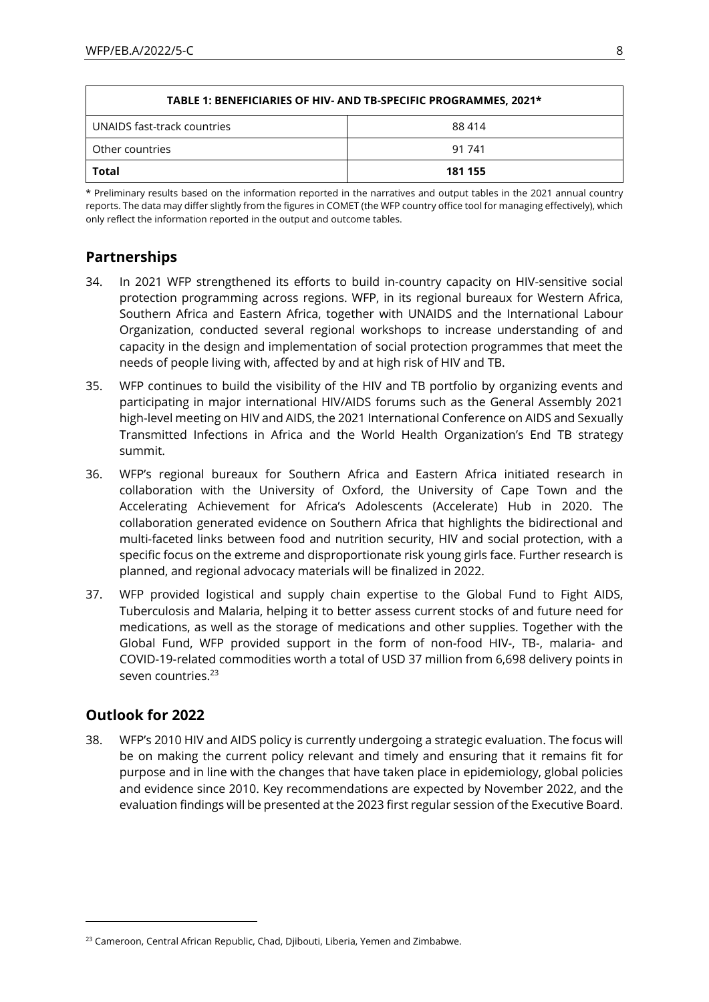| TABLE 1: BENEFICIARIES OF HIV- AND TB-SPECIFIC PROGRAMMES, 2021* |         |
|------------------------------------------------------------------|---------|
| UNAIDS fast-track countries                                      | 88 414  |
| Other countries                                                  | 91 741  |
| Total                                                            | 181 155 |

\* Preliminary results based on the information reported in the narratives and output tables in the 2021 annual country reports. The data may differ slightly from the figures in COMET (the WFP country office tool for managing effectively), which only reflect the information reported in the output and outcome tables.

# **Partnerships**

- 34. In 2021 WFP strengthened its efforts to build in-country capacity on HIV-sensitive social protection programming across regions. WFP, in its regional bureaux for Western Africa, Southern Africa and Eastern Africa, together with UNAIDS and the International Labour Organization, conducted several regional workshops to increase understanding of and capacity in the design and implementation of social protection programmes that meet the needs of people living with, affected by and at high risk of HIV and TB.
- 35. WFP continues to build the visibility of the HIV and TB portfolio by organizing events and participating in major international HIV/AIDS forums such as the General Assembly 2021 high-level meeting on HIV and AIDS, the 2021 International Conference on AIDS and Sexually Transmitted Infections in Africa and the World Health Organization's End TB strategy summit.
- 36. WFP's regional bureaux for Southern Africa and Eastern Africa initiated research in collaboration with the University of Oxford, the University of Cape Town and the Accelerating Achievement for Africa's Adolescents (Accelerate) Hub in 2020. The collaboration generated evidence on Southern Africa that highlights the bidirectional and multi-faceted links between food and nutrition security, HIV and social protection, with a specific focus on the extreme and disproportionate risk young girls face. Further research is planned, and regional advocacy materials will be finalized in 2022.
- 37. WFP provided logistical and supply chain expertise to the Global Fund to Fight AIDS, Tuberculosis and Malaria, helping it to better assess current stocks of and future need for medications, as well as the storage of medications and other supplies. Together with the Global Fund, WFP provided support in the form of non-food HIV-, TB-, malaria- and COVID-19-related commodities worth a total of USD 37 million from 6,698 delivery points in seven countries. 23

# **Outlook for 2022**

38. WFP's 2010 HIV and AIDS policy is currently undergoing a strategic evaluation. The focus will be on making the current policy relevant and timely and ensuring that it remains fit for purpose and in line with the changes that have taken place in epidemiology, global policies and evidence since 2010. Key recommendations are expected by November 2022, and the evaluation findings will be presented at the 2023 first regular session of the Executive Board.

<sup>&</sup>lt;sup>23</sup> Cameroon, Central African Republic, Chad, Djibouti, Liberia, Yemen and Zimbabwe.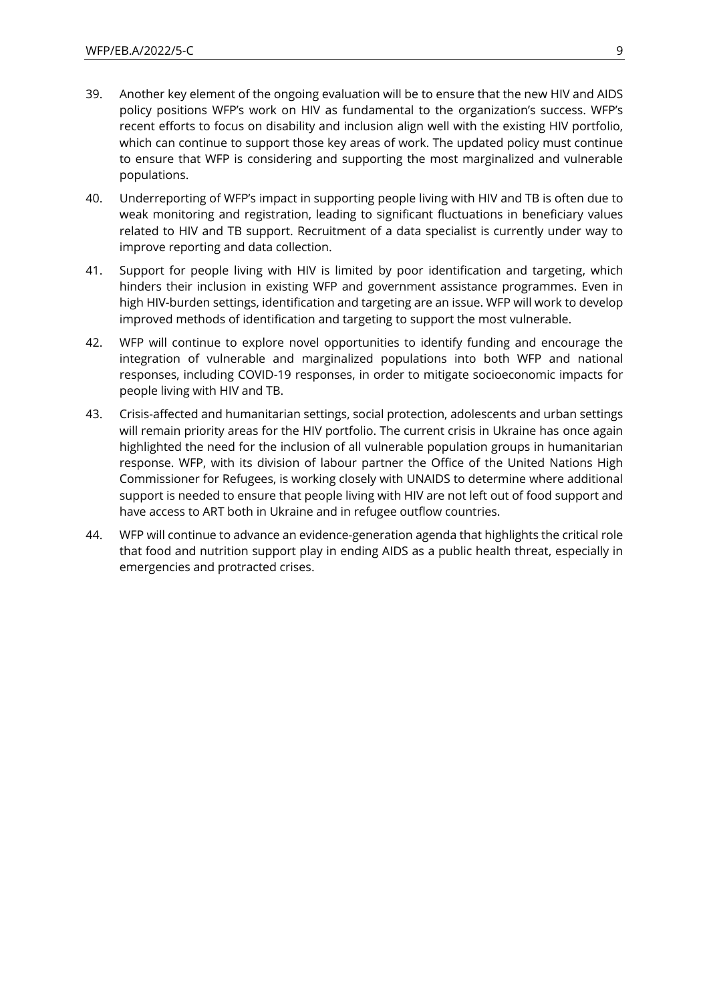- 39. Another key element of the ongoing evaluation will be to ensure that the new HIV and AIDS policy positions WFP's work on HIV as fundamental to the organization's success. WFP's recent efforts to focus on disability and inclusion align well with the existing HIV portfolio, which can continue to support those key areas of work. The updated policy must continue to ensure that WFP is considering and supporting the most marginalized and vulnerable populations.
- 40. Underreporting of WFP's impact in supporting people living with HIV and TB is often due to weak monitoring and registration, leading to significant fluctuations in beneficiary values related to HIV and TB support. Recruitment of a data specialist is currently under way to improve reporting and data collection.
- 41. Support for people living with HIV is limited by poor identification and targeting, which hinders their inclusion in existing WFP and government assistance programmes. Even in high HIV-burden settings, identification and targeting are an issue. WFP will work to develop improved methods of identification and targeting to support the most vulnerable.
- 42. WFP will continue to explore novel opportunities to identify funding and encourage the integration of vulnerable and marginalized populations into both WFP and national responses, including COVID-19 responses, in order to mitigate socioeconomic impacts for people living with HIV and TB.
- 43. Crisis-affected and humanitarian settings, social protection, adolescents and urban settings will remain priority areas for the HIV portfolio. The current crisis in Ukraine has once again highlighted the need for the inclusion of all vulnerable population groups in humanitarian response. WFP, with its division of labour partner the Office of the United Nations High Commissioner for Refugees, is working closely with UNAIDS to determine where additional support is needed to ensure that people living with HIV are not left out of food support and have access to ART both in Ukraine and in refugee outflow countries.
- 44. WFP will continue to advance an evidence-generation agenda that highlights the critical role that food and nutrition support play in ending AIDS as a public health threat, especially in emergencies and protracted crises.